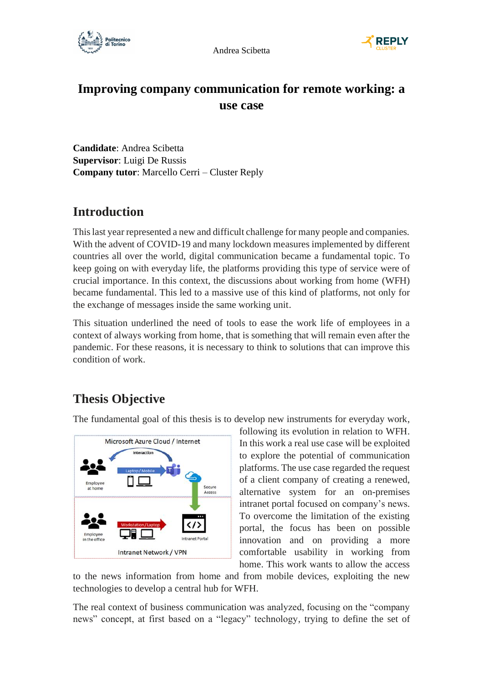



# **Improving company communication for remote working: a use case**

**Candidate**: Andrea Scibetta **Supervisor**: Luigi De Russis **Company tutor**: Marcello Cerri – Cluster Reply

#### **Introduction**

This last year represented a new and difficult challenge for many people and companies. With the advent of COVID-19 and many lockdown measures implemented by different countries all over the world, digital communication became a fundamental topic. To keep going on with everyday life, the platforms providing this type of service were of crucial importance. In this context, the discussions about working from home (WFH) became fundamental. This led to a massive use of this kind of platforms, not only for the exchange of messages inside the same working unit.

This situation underlined the need of tools to ease the work life of employees in a context of always working from home, that is something that will remain even after the pandemic. For these reasons, it is necessary to think to solutions that can improve this condition of work.

# **Thesis Objective**

The fundamental goal of this thesis is to develop new instruments for everyday work,



following its evolution in relation to WFH. In this work a real use case will be exploited to explore the potential of communication platforms. The use case regarded the request of a client company of creating a renewed, alternative system for an on-premises intranet portal focused on company's news. To overcome the limitation of the existing portal, the focus has been on possible innovation and on providing a more comfortable usability in working from home. This work wants to allow the access

to the news information from home and from mobile devices, exploiting the new technologies to develop a central hub for WFH.

The real context of business communication was analyzed, focusing on the "company news" concept, at first based on a "legacy" technology, trying to define the set of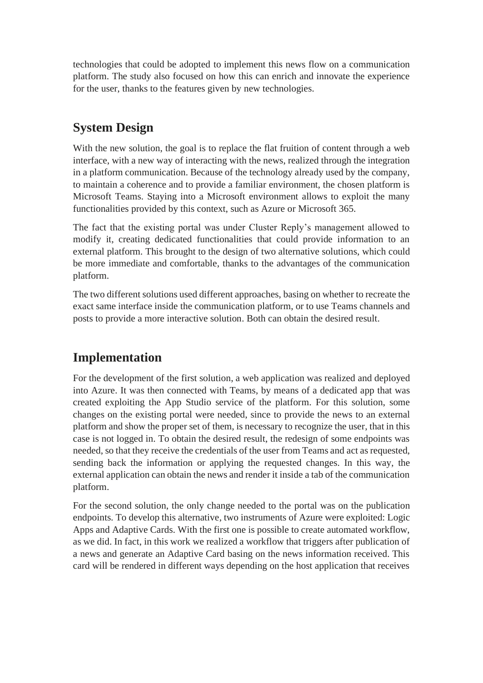technologies that could be adopted to implement this news flow on a communication platform. The study also focused on how this can enrich and innovate the experience for the user, thanks to the features given by new technologies.

# **System Design**

With the new solution, the goal is to replace the flat fruition of content through a web interface, with a new way of interacting with the news, realized through the integration in a platform communication. Because of the technology already used by the company, to maintain a coherence and to provide a familiar environment, the chosen platform is Microsoft Teams. Staying into a Microsoft environment allows to exploit the many functionalities provided by this context, such as Azure or Microsoft 365.

The fact that the existing portal was under Cluster Reply's management allowed to modify it, creating dedicated functionalities that could provide information to an external platform. This brought to the design of two alternative solutions, which could be more immediate and comfortable, thanks to the advantages of the communication platform.

The two different solutions used different approaches, basing on whether to recreate the exact same interface inside the communication platform, or to use Teams channels and posts to provide a more interactive solution. Both can obtain the desired result.

# **Implementation**

For the development of the first solution, a web application was realized and deployed into Azure. It was then connected with Teams, by means of a dedicated app that was created exploiting the App Studio service of the platform. For this solution, some changes on the existing portal were needed, since to provide the news to an external platform and show the proper set of them, is necessary to recognize the user, that in this case is not logged in. To obtain the desired result, the redesign of some endpoints was needed, so that they receive the credentials of the user from Teams and act as requested, sending back the information or applying the requested changes. In this way, the external application can obtain the news and render it inside a tab of the communication platform.

For the second solution, the only change needed to the portal was on the publication endpoints. To develop this alternative, two instruments of Azure were exploited: Logic Apps and Adaptive Cards. With the first one is possible to create automated workflow, as we did. In fact, in this work we realized a workflow that triggers after publication of a news and generate an Adaptive Card basing on the news information received. This card will be rendered in different ways depending on the host application that receives